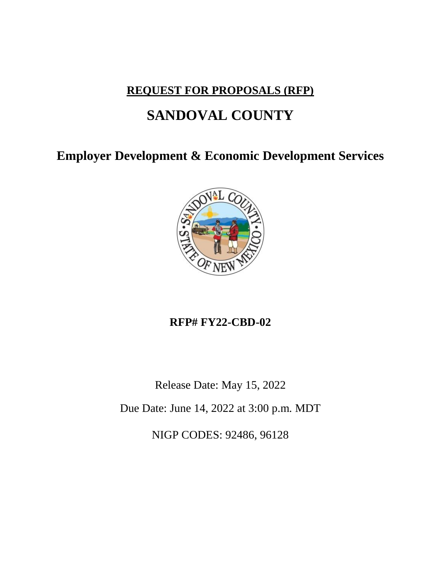## **REQUEST FOR PROPOSALS (RFP)**

# **SANDOVAL COUNTY**

**Employer Development & Economic Development Services**



## **RFP# FY22-CBD-02**

Release Date: May 15, 2022

Due Date: June 14, 2022 at 3:00 p.m. MDT

NIGP CODES: 92486, 96128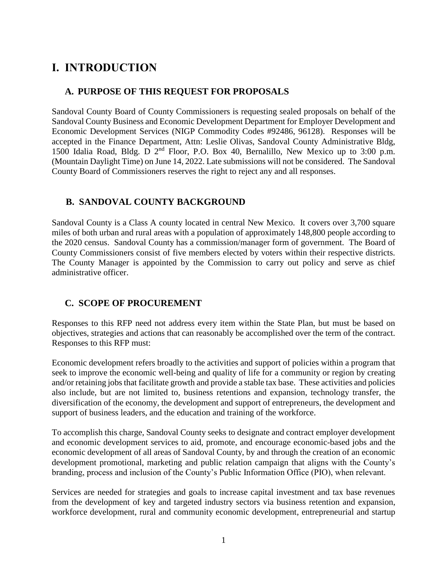## **I. INTRODUCTION**

## **A. PURPOSE OF THIS REQUEST FOR PROPOSALS**

Sandoval County Board of County Commissioners is requesting sealed proposals on behalf of the Sandoval County Business and Economic Development Department for Employer Development and Economic Development Services (NIGP Commodity Codes #92486, 96128). Responses will be accepted in the Finance Department, Attn: Leslie Olivas, Sandoval County Administrative Bldg, 1500 Idalia Road, Bldg. D  $2<sup>nd</sup>$  Floor, P.O. Box 40, Bernalillo, New Mexico up to 3:00 p.m. (Mountain Daylight Time) on June 14, 2022. Late submissions will not be considered. The Sandoval County Board of Commissioners reserves the right to reject any and all responses.

## **B. SANDOVAL COUNTY BACKGROUND**

Sandoval County is a Class A county located in central New Mexico. It covers over 3,700 square miles of both urban and rural areas with a population of approximately 148,800 people according to the 2020 census. Sandoval County has a commission/manager form of government. The Board of County Commissioners consist of five members elected by voters within their respective districts. The County Manager is appointed by the Commission to carry out policy and serve as chief administrative officer.

## **C. SCOPE OF PROCUREMENT**

Responses to this RFP need not address every item within the State Plan, but must be based on objectives, strategies and actions that can reasonably be accomplished over the term of the contract. Responses to this RFP must:

Economic development refers broadly to the activities and support of policies within a program that seek to improve the economic well-being and quality of life for a community or region by creating and/or retaining jobs that facilitate growth and provide a stable tax base. These activities and policies also include, but are not limited to, business retentions and expansion, technology transfer, the diversification of the economy, the development and support of entrepreneurs, the development and support of business leaders, and the education and training of the workforce.

To accomplish this charge, Sandoval County seeks to designate and contract employer development and economic development services to aid, promote, and encourage economic-based jobs and the economic development of all areas of Sandoval County, by and through the creation of an economic development promotional, marketing and public relation campaign that aligns with the County's branding, process and inclusion of the County's Public Information Office (PIO), when relevant.

Services are needed for strategies and goals to increase capital investment and tax base revenues from the development of key and targeted industry sectors via business retention and expansion, workforce development, rural and community economic development, entrepreneurial and startup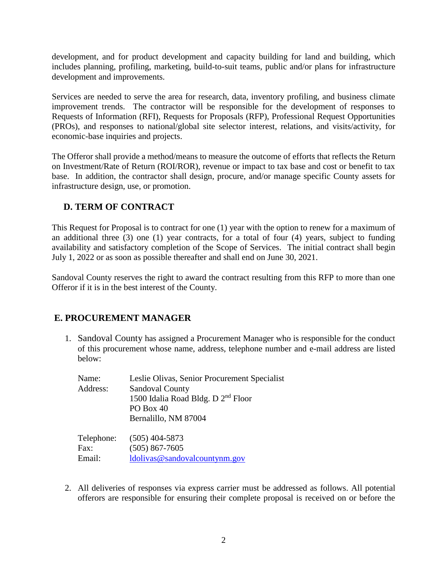development, and for product development and capacity building for land and building, which includes planning, profiling, marketing, build-to-suit teams, public and/or plans for infrastructure development and improvements.

Services are needed to serve the area for research, data, inventory profiling, and business climate improvement trends. The contractor will be responsible for the development of responses to Requests of Information (RFI), Requests for Proposals (RFP), Professional Request Opportunities (PROs), and responses to national/global site selector interest, relations, and visits/activity, for economic-base inquiries and projects.

The Offeror shall provide a method/means to measure the outcome of efforts that reflects the Return on Investment/Rate of Return (ROI/ROR), revenue or impact to tax base and cost or benefit to tax base. In addition, the contractor shall design, procure, and/or manage specific County assets for infrastructure design, use, or promotion.

## **D. TERM OF CONTRACT**

This Request for Proposal is to contract for one (1) year with the option to renew for a maximum of an additional three (3) one (1) year contracts, for a total of four (4) years, subject to funding availability and satisfactory completion of the Scope of Services. The initial contract shall begin July 1, 2022 or as soon as possible thereafter and shall end on June 30, 2021.

Sandoval County reserves the right to award the contract resulting from this RFP to more than one Offeror if it is in the best interest of the County.

## **E. PROCUREMENT MANAGER**

1. Sandoval County has assigned a Procurement Manager who is responsible for the conduct of this procurement whose name, address, telephone number and e-mail address are listed below:

| Name:      | Leslie Olivas, Senior Procurement Specialist   |
|------------|------------------------------------------------|
| Address:   | <b>Sandoval County</b>                         |
|            | 1500 Idalia Road Bldg. D 2 <sup>nd</sup> Floor |
|            | PO Box 40                                      |
|            | Bernalillo, NM 87004                           |
| Telephone: | $(505)$ 404-5873                               |
| Fax:       | $(505)$ 867-7605                               |
| Email:     | ldolivas@sandovalcountynm.gov                  |

2. All deliveries of responses via express carrier must be addressed as follows. All potential offerors are responsible for ensuring their complete proposal is received on or before the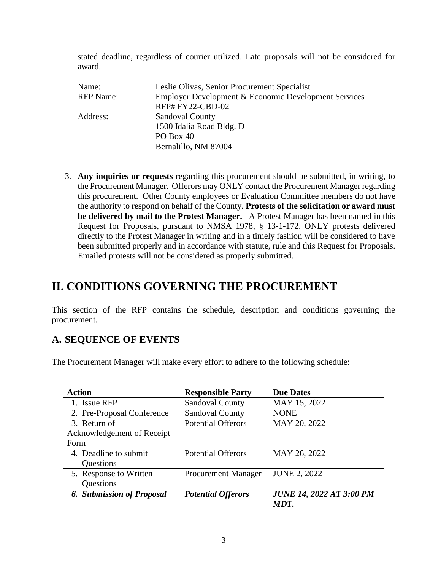stated deadline, regardless of courier utilized. Late proposals will not be considered for award.

| Name:            | Leslie Olivas, Senior Procurement Specialist         |
|------------------|------------------------------------------------------|
| <b>RFP</b> Name: | Employer Development & Economic Development Services |
|                  | RFP#FY22-CBD-02                                      |
| Address:         | <b>Sandoval County</b>                               |
|                  | 1500 Idalia Road Bldg. D                             |
|                  | PO Box 40                                            |
|                  | Bernalillo, NM 87004                                 |

3. **Any inquiries or requests** regarding this procurement should be submitted, in writing, to the Procurement Manager. Offerors may ONLY contact the Procurement Manager regarding this procurement. Other County employees or Evaluation Committee members do not have the authority to respond on behalf of the County. **Protests of the solicitation or award must be delivered by mail to the Protest Manager.** A Protest Manager has been named in this Request for Proposals, pursuant to NMSA 1978, § 13-1-172, ONLY protests delivered directly to the Protest Manager in writing and in a timely fashion will be considered to have been submitted properly and in accordance with statute, rule and this Request for Proposals. Emailed protests will not be considered as properly submitted.

## **II. CONDITIONS GOVERNING THE PROCUREMENT**

This section of the RFP contains the schedule, description and conditions governing the procurement.

## **A. SEQUENCE OF EVENTS**

The Procurement Manager will make every effort to adhere to the following schedule:

| <b>Action</b>                    | <b>Responsible Party</b>   | <b>Due Dates</b>                |
|----------------------------------|----------------------------|---------------------------------|
| 1. Issue RFP                     | <b>Sandoval County</b>     | MAY 15, 2022                    |
| 2. Pre-Proposal Conference       | <b>Sandoval County</b>     | <b>NONE</b>                     |
| 3. Return of                     | <b>Potential Offerors</b>  | MAY 20, 2022                    |
| Acknowledgement of Receipt       |                            |                                 |
| Form                             |                            |                                 |
| 4. Deadline to submit            | <b>Potential Offerors</b>  | MAY 26, 2022                    |
| Questions                        |                            |                                 |
| 5. Response to Written           | <b>Procurement Manager</b> | <b>JUNE 2, 2022</b>             |
| Questions                        |                            |                                 |
| <b>6. Submission of Proposal</b> | <b>Potential Offerors</b>  | <b>JUNE 14, 2022 AT 3:00 PM</b> |
|                                  |                            | MDT.                            |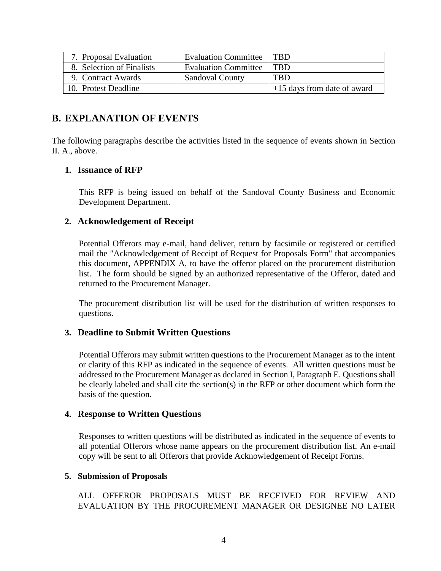| 7. Proposal Evaluation    | <b>Evaluation Committee</b> | <b>TRD</b>                  |
|---------------------------|-----------------------------|-----------------------------|
| 8. Selection of Finalists | <b>Evaluation Committee</b> | <b>TRD</b>                  |
| 9. Contract Awards        | <b>Sandoval County</b>      | <b>TBD</b>                  |
| 10. Protest Deadline      |                             | +15 days from date of award |

## **B. EXPLANATION OF EVENTS**

The following paragraphs describe the activities listed in the sequence of events shown in Section II. A., above.

### **1. Issuance of RFP**

This RFP is being issued on behalf of the Sandoval County Business and Economic Development Department.

### **2. Acknowledgement of Receipt**

Potential Offerors may e-mail, hand deliver, return by facsimile or registered or certified mail the "Acknowledgement of Receipt of Request for Proposals Form" that accompanies this document, APPENDIX A, to have the offeror placed on the procurement distribution list. The form should be signed by an authorized representative of the Offeror, dated and returned to the Procurement Manager.

The procurement distribution list will be used for the distribution of written responses to questions.

#### **3. Deadline to Submit Written Questions**

Potential Offerors may submit written questions to the Procurement Manager as to the intent or clarity of this RFP as indicated in the sequence of events. All written questions must be addressed to the Procurement Manager as declared in Section I, Paragraph E. Questions shall be clearly labeled and shall cite the section(s) in the RFP or other document which form the basis of the question.

#### **4. Response to Written Questions**

Responses to written questions will be distributed as indicated in the sequence of events to all potential Offerors whose name appears on the procurement distribution list. An e-mail copy will be sent to all Offerors that provide Acknowledgement of Receipt Forms.

#### **5. Submission of Proposals**

ALL OFFEROR PROPOSALS MUST BE RECEIVED FOR REVIEW AND EVALUATION BY THE PROCUREMENT MANAGER OR DESIGNEE NO LATER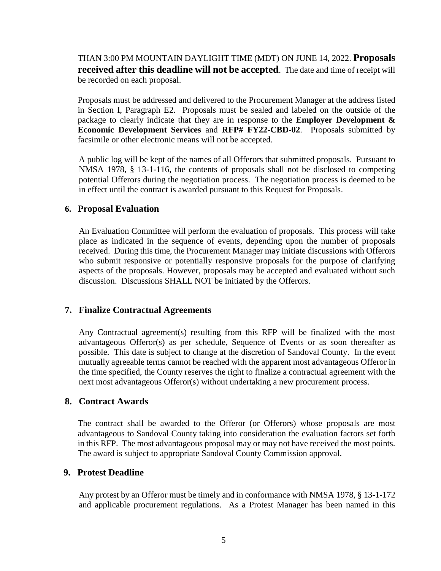THAN 3:00 PM MOUNTAIN DAYLIGHT TIME (MDT) ON JUNE 14, 2022. **Proposals received after this deadline will not be accepted**. The date and time of receipt will be recorded on each proposal.

Proposals must be addressed and delivered to the Procurement Manager at the address listed in Section I, Paragraph E2. Proposals must be sealed and labeled on the outside of the package to clearly indicate that they are in response to the **Employer Development & Economic Development Services** and **RFP# FY22-CBD-02**. Proposals submitted by facsimile or other electronic means will not be accepted.

A public log will be kept of the names of all Offerors that submitted proposals. Pursuant to NMSA 1978, § 13-1-116, the contents of proposals shall not be disclosed to competing potential Offerors during the negotiation process. The negotiation process is deemed to be in effect until the contract is awarded pursuant to this Request for Proposals.

#### **6. Proposal Evaluation**

An Evaluation Committee will perform the evaluation of proposals. This process will take place as indicated in the sequence of events, depending upon the number of proposals received. During this time, the Procurement Manager may initiate discussions with Offerors who submit responsive or potentially responsive proposals for the purpose of clarifying aspects of the proposals. However, proposals may be accepted and evaluated without such discussion. Discussions SHALL NOT be initiated by the Offerors.

#### **7. Finalize Contractual Agreements**

Any Contractual agreement(s) resulting from this RFP will be finalized with the most advantageous Offeror(s) as per schedule, Sequence of Events or as soon thereafter as possible. This date is subject to change at the discretion of Sandoval County. In the event mutually agreeable terms cannot be reached with the apparent most advantageous Offeror in the time specified, the County reserves the right to finalize a contractual agreement with the next most advantageous Offeror(s) without undertaking a new procurement process.

#### **8. Contract Awards**

The contract shall be awarded to the Offeror (or Offerors) whose proposals are most advantageous to Sandoval County taking into consideration the evaluation factors set forth in this RFP. The most advantageous proposal may or may not have received the most points. The award is subject to appropriate Sandoval County Commission approval.

#### **9. Protest Deadline**

Any protest by an Offeror must be timely and in conformance with NMSA 1978, § 13-1-172 and applicable procurement regulations. As a Protest Manager has been named in this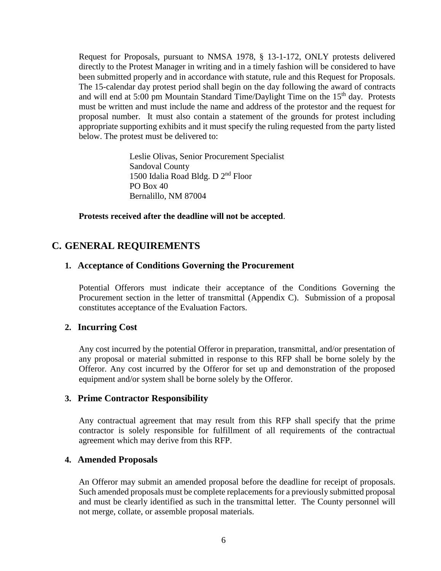Request for Proposals, pursuant to NMSA 1978, § 13-1-172, ONLY protests delivered directly to the Protest Manager in writing and in a timely fashion will be considered to have been submitted properly and in accordance with statute, rule and this Request for Proposals. The 15-calendar day protest period shall begin on the day following the award of contracts and will end at 5:00 pm Mountain Standard Time/Daylight Time on the 15<sup>th</sup> day. Protests must be written and must include the name and address of the protestor and the request for proposal number. It must also contain a statement of the grounds for protest including appropriate supporting exhibits and it must specify the ruling requested from the party listed below. The protest must be delivered to:

> Leslie Olivas, Senior Procurement Specialist Sandoval County 1500 Idalia Road Bldg. D 2<sup>nd</sup> Floor PO Box 40 Bernalillo, NM 87004

**Protests received after the deadline will not be accepted**.

## **C. GENERAL REQUIREMENTS**

### **1. Acceptance of Conditions Governing the Procurement**

Potential Offerors must indicate their acceptance of the Conditions Governing the Procurement section in the letter of transmittal (Appendix C). Submission of a proposal constitutes acceptance of the Evaluation Factors.

### **2. Incurring Cost**

Any cost incurred by the potential Offeror in preparation, transmittal, and/or presentation of any proposal or material submitted in response to this RFP shall be borne solely by the Offeror. Any cost incurred by the Offeror for set up and demonstration of the proposed equipment and/or system shall be borne solely by the Offeror.

#### **3. Prime Contractor Responsibility**

Any contractual agreement that may result from this RFP shall specify that the prime contractor is solely responsible for fulfillment of all requirements of the contractual agreement which may derive from this RFP.

### **4. Amended Proposals**

An Offeror may submit an amended proposal before the deadline for receipt of proposals. Such amended proposals must be complete replacements for a previously submitted proposal and must be clearly identified as such in the transmittal letter. The County personnel will not merge, collate, or assemble proposal materials.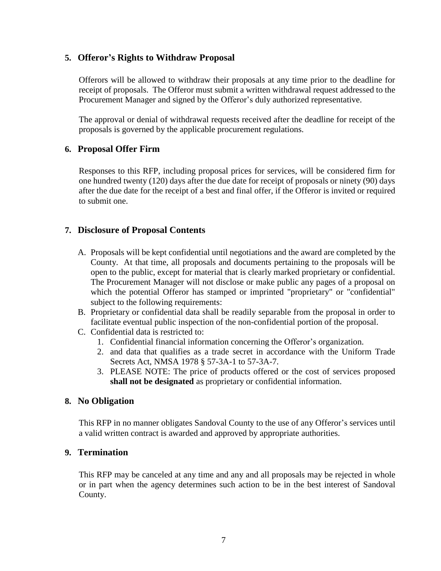## **5. Offeror's Rights to Withdraw Proposal**

Offerors will be allowed to withdraw their proposals at any time prior to the deadline for receipt of proposals. The Offeror must submit a written withdrawal request addressed to the Procurement Manager and signed by the Offeror's duly authorized representative.

The approval or denial of withdrawal requests received after the deadline for receipt of the proposals is governed by the applicable procurement regulations.

## **6. Proposal Offer Firm**

Responses to this RFP, including proposal prices for services, will be considered firm for one hundred twenty (120) days after the due date for receipt of proposals or ninety (90) days after the due date for the receipt of a best and final offer, if the Offeror is invited or required to submit one.

## **7. Disclosure of Proposal Contents**

- A. Proposals will be kept confidential until negotiations and the award are completed by the County. At that time, all proposals and documents pertaining to the proposals will be open to the public, except for material that is clearly marked proprietary or confidential. The Procurement Manager will not disclose or make public any pages of a proposal on which the potential Offeror has stamped or imprinted "proprietary" or "confidential" subject to the following requirements:
- B. Proprietary or confidential data shall be readily separable from the proposal in order to facilitate eventual public inspection of the non-confidential portion of the proposal.
- C. Confidential data is restricted to:
	- 1. Confidential financial information concerning the Offeror's organization.
	- 2. and data that qualifies as a trade secret in accordance with the Uniform Trade Secrets Act, NMSA 1978 § 57-3A-1 to 57-3A-7.
	- 3. PLEASE NOTE: The price of products offered or the cost of services proposed **shall not be designated** as proprietary or confidential information.

### **8. No Obligation**

This RFP in no manner obligates Sandoval County to the use of any Offeror's services until a valid written contract is awarded and approved by appropriate authorities.

### **9. Termination**

This RFP may be canceled at any time and any and all proposals may be rejected in whole or in part when the agency determines such action to be in the best interest of Sandoval County.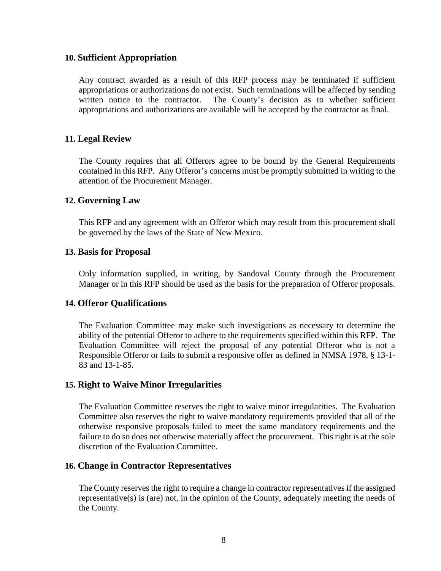#### **10. Sufficient Appropriation**

Any contract awarded as a result of this RFP process may be terminated if sufficient appropriations or authorizations do not exist. Such terminations will be affected by sending written notice to the contractor. The County's decision as to whether sufficient appropriations and authorizations are available will be accepted by the contractor as final.

### **11. Legal Review**

The County requires that all Offerors agree to be bound by the General Requirements contained in this RFP. Any Offeror's concerns must be promptly submitted in writing to the attention of the Procurement Manager.

#### **12. Governing Law**

This RFP and any agreement with an Offeror which may result from this procurement shall be governed by the laws of the State of New Mexico.

#### **13. Basis for Proposal**

Only information supplied, in writing, by Sandoval County through the Procurement Manager or in this RFP should be used as the basis for the preparation of Offeror proposals.

#### **14. Offeror Qualifications**

The Evaluation Committee may make such investigations as necessary to determine the ability of the potential Offeror to adhere to the requirements specified within this RFP. The Evaluation Committee will reject the proposal of any potential Offeror who is not a Responsible Offeror or fails to submit a responsive offer as defined in NMSA 1978, § 13-1- 83 and 13-1-85.

#### **15. Right to Waive Minor Irregularities**

The Evaluation Committee reserves the right to waive minor irregularities. The Evaluation Committee also reserves the right to waive mandatory requirements provided that all of the otherwise responsive proposals failed to meet the same mandatory requirements and the failure to do so does not otherwise materially affect the procurement. This right is at the sole discretion of the Evaluation Committee.

#### **16. Change in Contractor Representatives**

The County reserves the right to require a change in contractor representatives if the assigned representative(s) is (are) not, in the opinion of the County, adequately meeting the needs of the County.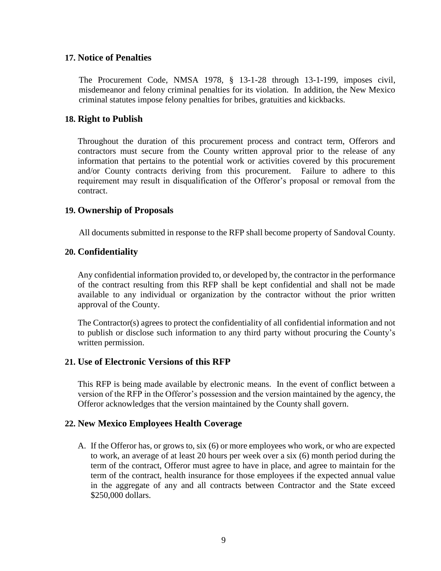#### **17. Notice of Penalties**

The Procurement Code, NMSA 1978, § 13-1-28 through 13-1-199, imposes civil, misdemeanor and felony criminal penalties for its violation. In addition, the New Mexico criminal statutes impose felony penalties for bribes, gratuities and kickbacks.

#### **18. Right to Publish**

Throughout the duration of this procurement process and contract term, Offerors and contractors must secure from the County written approval prior to the release of any information that pertains to the potential work or activities covered by this procurement and/or County contracts deriving from this procurement. Failure to adhere to this requirement may result in disqualification of the Offeror's proposal or removal from the contract.

### **19. Ownership of Proposals**

All documents submitted in response to the RFP shall become property of Sandoval County.

#### **20. Confidentiality**

Any confidential information provided to, or developed by, the contractor in the performance of the contract resulting from this RFP shall be kept confidential and shall not be made available to any individual or organization by the contractor without the prior written approval of the County.

The Contractor(s) agrees to protect the confidentiality of all confidential information and not to publish or disclose such information to any third party without procuring the County's written permission.

### **21. Use of Electronic Versions of this RFP**

This RFP is being made available by electronic means. In the event of conflict between a version of the RFP in the Offeror's possession and the version maintained by the agency, the Offeror acknowledges that the version maintained by the County shall govern.

### **22. New Mexico Employees Health Coverage**

A. If the Offeror has, or grows to, six (6) or more employees who work, or who are expected to work, an average of at least 20 hours per week over a six (6) month period during the term of the contract, Offeror must agree to have in place, and agree to maintain for the term of the contract, health insurance for those employees if the expected annual value in the aggregate of any and all contracts between Contractor and the State exceed \$250,000 dollars.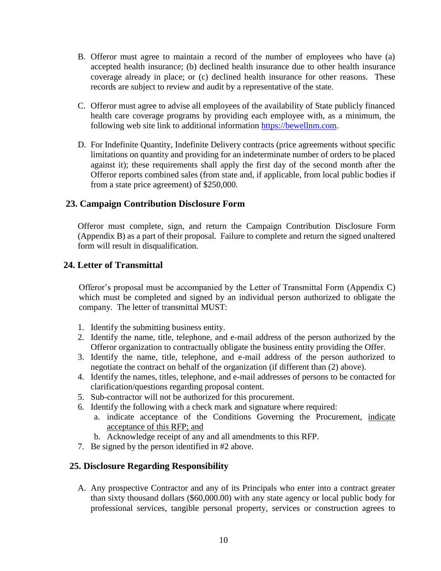- B. Offeror must agree to maintain a record of the number of employees who have (a) accepted health insurance; (b) declined health insurance due to other health insurance coverage already in place; or (c) declined health insurance for other reasons. These records are subject to review and audit by a representative of the state.
- C. Offeror must agree to advise all employees of the availability of State publicly financed health care coverage programs by providing each employee with, as a minimum, the following web site link to additional information [https://bewellnm.com.](https://bewellnm.com/)
- D. For Indefinite Quantity, Indefinite Delivery contracts (price agreements without specific limitations on quantity and providing for an indeterminate number of orders to be placed against it); these requirements shall apply the first day of the second month after the Offeror reports combined sales (from state and, if applicable, from local public bodies if from a state price agreement) of \$250,000.

## **23. Campaign Contribution Disclosure Form**

Offeror must complete, sign, and return the Campaign Contribution Disclosure Form (Appendix B) as a part of their proposal. Failure to complete and return the signed unaltered form will result in disqualification.

## **24. Letter of Transmittal**

Offeror's proposal must be accompanied by the Letter of Transmittal Form (Appendix C) which must be completed and signed by an individual person authorized to obligate the company. The letter of transmittal MUST:

- 1. Identify the submitting business entity.
- 2. Identify the name, title, telephone, and e-mail address of the person authorized by the Offeror organization to contractually obligate the business entity providing the Offer.
- 3. Identify the name, title, telephone, and e-mail address of the person authorized to negotiate the contract on behalf of the organization (if different than (2) above).
- 4. Identify the names, titles, telephone, and e-mail addresses of persons to be contacted for clarification/questions regarding proposal content.
- 5. Sub-contractor will not be authorized for this procurement.
- 6. Identify the following with a check mark and signature where required:
	- a. indicate acceptance of the Conditions Governing the Procurement, indicate acceptance of this RFP; and
	- b. Acknowledge receipt of any and all amendments to this RFP.
- 7. Be signed by the person identified in #2 above.

### **25. Disclosure Regarding Responsibility**

A. Any prospective Contractor and any of its Principals who enter into a contract greater than sixty thousand dollars (\$60,000.00) with any state agency or local public body for professional services, tangible personal property, services or construction agrees to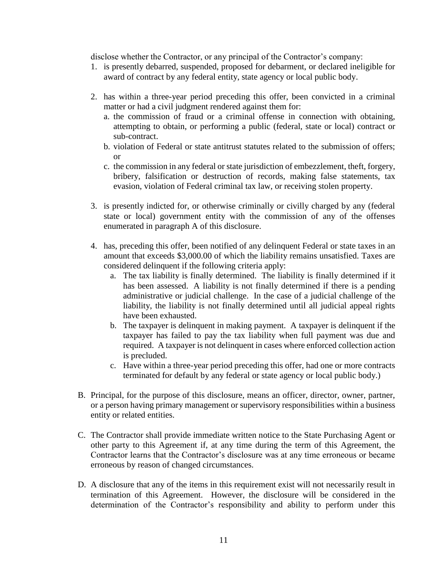disclose whether the Contractor, or any principal of the Contractor's company:

- 1. is presently debarred, suspended, proposed for debarment, or declared ineligible for award of contract by any federal entity, state agency or local public body.
- 2. has within a three-year period preceding this offer, been convicted in a criminal matter or had a civil judgment rendered against them for:
	- a. the commission of fraud or a criminal offense in connection with obtaining, attempting to obtain, or performing a public (federal, state or local) contract or sub-contract.
	- b. violation of Federal or state antitrust statutes related to the submission of offers; or
	- c. the commission in any federal or state jurisdiction of embezzlement, theft, forgery, bribery, falsification or destruction of records, making false statements, tax evasion, violation of Federal criminal tax law, or receiving stolen property.
- 3. is presently indicted for, or otherwise criminally or civilly charged by any (federal state or local) government entity with the commission of any of the offenses enumerated in paragraph A of this disclosure.
- 4. has, preceding this offer, been notified of any delinquent Federal or state taxes in an amount that exceeds \$3,000.00 of which the liability remains unsatisfied. Taxes are considered delinquent if the following criteria apply:
	- a. The tax liability is finally determined. The liability is finally determined if it has been assessed. A liability is not finally determined if there is a pending administrative or judicial challenge. In the case of a judicial challenge of the liability, the liability is not finally determined until all judicial appeal rights have been exhausted.
	- b. The taxpayer is delinquent in making payment. A taxpayer is delinquent if the taxpayer has failed to pay the tax liability when full payment was due and required. A taxpayer is not delinquent in cases where enforced collection action is precluded.
	- c. Have within a three-year period preceding this offer, had one or more contracts terminated for default by any federal or state agency or local public body.)
- B. Principal, for the purpose of this disclosure, means an officer, director, owner, partner, or a person having primary management or supervisory responsibilities within a business entity or related entities.
- C. The Contractor shall provide immediate written notice to the State Purchasing Agent or other party to this Agreement if, at any time during the term of this Agreement, the Contractor learns that the Contractor's disclosure was at any time erroneous or became erroneous by reason of changed circumstances.
- D. A disclosure that any of the items in this requirement exist will not necessarily result in termination of this Agreement. However, the disclosure will be considered in the determination of the Contractor's responsibility and ability to perform under this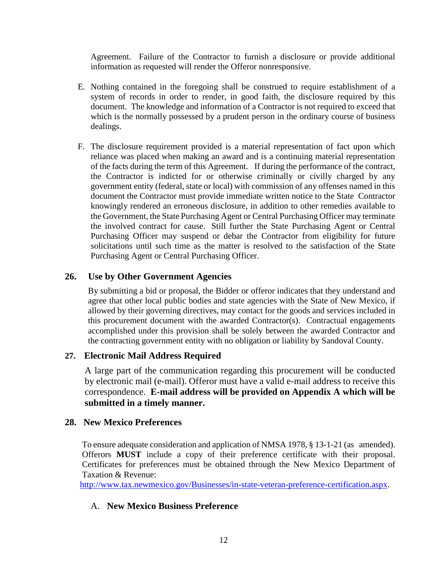Agreement. Failure of the Contractor to furnish a disclosure or provide additional information as requested will render the Offeror nonresponsive.

- E. Nothing contained in the foregoing shall be construed to require establishment of a system of records in order to render, in good faith, the disclosure required by this document. The knowledge and information of a Contractor is not required to exceed that which is the normally possessed by a prudent person in the ordinary course of business dealings.
- F. The disclosure requirement provided is a material representation of fact upon which reliance was placed when making an award and is a continuing material representation of the facts during the term of this Agreement. If during the performance of the contract, the Contractor is indicted for or otherwise criminally or civilly charged by any government entity (federal, state or local) with commission of any offenses named in this document the Contractor must provide immediate written notice to the State Contractor knowingly rendered an erroneous disclosure, in addition to other remedies available to the Government, the State Purchasing Agent or Central Purchasing Officer may terminate the involved contract for cause. Still further the State Purchasing Agent or Central Purchasing Officer may suspend or debar the Contractor from eligibility for future solicitations until such time as the matter is resolved to the satisfaction of the State Purchasing Agent or Central Purchasing Officer.

## **26. Use by Other Government Agencies**

By submitting a bid or proposal, the Bidder or offeror indicates that they understand and agree that other local public bodies and state agencies with the State of New Mexico, if allowed by their governing directives, may contact for the goods and services included in this procurement document with the awarded Contractor(s). Contractual engagements accomplished under this provision shall be solely between the awarded Contractor and the contracting government entity with no obligation or liability by Sandoval County.

### **27. Electronic Mail Address Required**

A large part of the communication regarding this procurement will be conducted by electronic mail (e-mail). Offeror must have a valid e-mail address to receive this correspondence. **E-mail address will be provided on Appendix A which will be submitted in a timely manner.**

### **28. New Mexico Preferences**

To ensure adequate consideration and application of NMSA 1978, § 13-1-21 (as amended). Offerors **MUST** include a copy of their preference certificate with their proposal. Certificates for preferences must be obtained through the New Mexico Department of Taxation & Revenue:

[http://www.tax.newmexico.gov/Businesses/in-state-veteran-preference-certification.aspx.](http://www.tax.newmexico.gov/Businesses/in-state-veteran-preference-certification.aspx)

### A. **New Mexico Business Preference**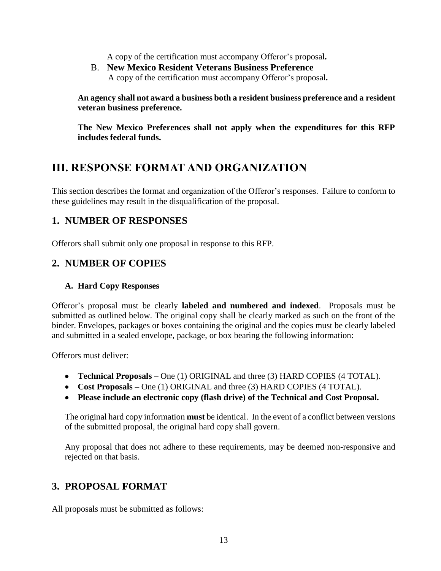A copy of the certification must accompany Offeror's proposal**.**

B. **New Mexico Resident Veterans Business Preference** A copy of the certification must accompany Offeror's proposal**.**

**An agency shall not award a business both a resident business preference and a resident veteran business preference.** 

**The New Mexico Preferences shall not apply when the expenditures for this RFP includes federal funds.**

## **III. RESPONSE FORMAT AND ORGANIZATION**

This section describes the format and organization of the Offeror's responses. Failure to conform to these guidelines may result in the disqualification of the proposal.

## **1. NUMBER OF RESPONSES**

Offerors shall submit only one proposal in response to this RFP.

## **2. NUMBER OF COPIES**

### **A. Hard Copy Responses**

Offeror's proposal must be clearly **labeled and numbered and indexed**. Proposals must be submitted as outlined below. The original copy shall be clearly marked as such on the front of the binder. Envelopes, packages or boxes containing the original and the copies must be clearly labeled and submitted in a sealed envelope, package, or box bearing the following information:

Offerors must deliver:

- **Technical Proposals –** One (1) ORIGINAL and three (3) HARD COPIES (4 TOTAL).
- **Cost Proposals –** One (1) ORIGINAL and three (3) HARD COPIES (4 TOTAL).
- **Please include an electronic copy (flash drive) of the Technical and Cost Proposal.**

The original hard copy information **must** be identical. In the event of a conflict between versions of the submitted proposal, the original hard copy shall govern.

Any proposal that does not adhere to these requirements, may be deemed non-responsive and rejected on that basis.

## **3. PROPOSAL FORMAT**

All proposals must be submitted as follows: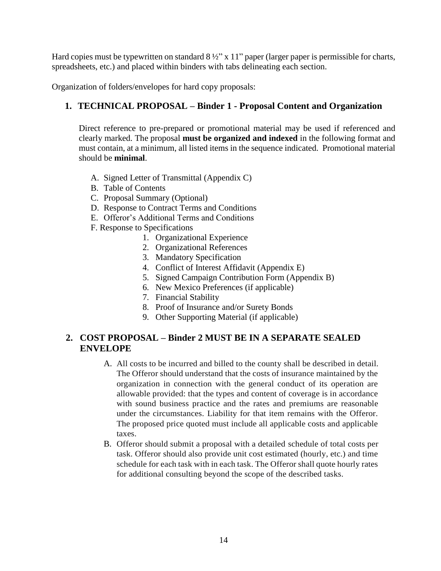Hard copies must be typewritten on standard  $8\frac{1}{2}$ " x 11" paper (larger paper is permissible for charts, spreadsheets, etc.) and placed within binders with tabs delineating each section.

Organization of folders/envelopes for hard copy proposals:

## **1. TECHNICAL PROPOSAL – Binder 1 - Proposal Content and Organization**

Direct reference to pre-prepared or promotional material may be used if referenced and clearly marked. The proposal **must be organized and indexed** in the following format and must contain, at a minimum, all listed items in the sequence indicated. Promotional material should be **minimal**.

- A. Signed Letter of Transmittal (Appendix C)
- B. Table of Contents
- C. Proposal Summary (Optional)
- D. Response to Contract Terms and Conditions
- E. Offeror's Additional Terms and Conditions
- F. Response to Specifications
	- 1. Organizational Experience
	- 2. Organizational References
	- 3. Mandatory Specification
	- 4. Conflict of Interest Affidavit (Appendix E)
	- 5. Signed Campaign Contribution Form (Appendix B)
	- 6. New Mexico Preferences (if applicable)
	- 7. Financial Stability
	- 8. Proof of Insurance and/or Surety Bonds
	- 9. Other Supporting Material (if applicable)

## **2. COST PROPOSAL – Binder 2 MUST BE IN A SEPARATE SEALED ENVELOPE**

- A. All costs to be incurred and billed to the county shall be described in detail. The Offeror should understand that the costs of insurance maintained by the organization in connection with the general conduct of its operation are allowable provided: that the types and content of coverage is in accordance with sound business practice and the rates and premiums are reasonable under the circumstances. Liability for that item remains with the Offeror. The proposed price quoted must include all applicable costs and applicable taxes.
- B. Offeror should submit a proposal with a detailed schedule of total costs per task. Offeror should also provide unit cost estimated (hourly, etc.) and time schedule for each task with in each task. The Offeror shall quote hourly rates for additional consulting beyond the scope of the described tasks.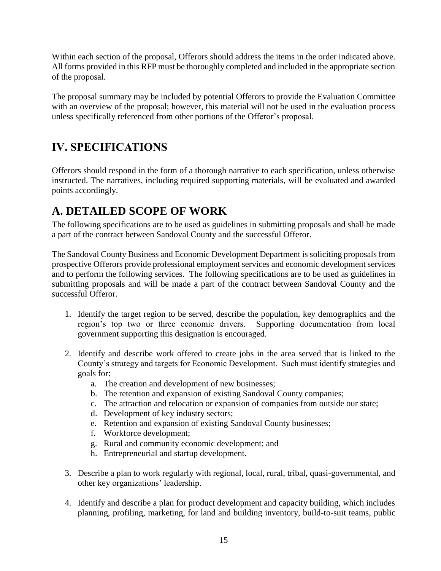Within each section of the proposal, Offerors should address the items in the order indicated above. All forms provided in this RFP must be thoroughly completed and included in the appropriate section of the proposal.

The proposal summary may be included by potential Offerors to provide the Evaluation Committee with an overview of the proposal; however, this material will not be used in the evaluation process unless specifically referenced from other portions of the Offeror's proposal.

## **IV. SPECIFICATIONS**

Offerors should respond in the form of a thorough narrative to each specification, unless otherwise instructed. The narratives, including required supporting materials, will be evaluated and awarded points accordingly.

## **A. DETAILED SCOPE OF WORK**

The following specifications are to be used as guidelines in submitting proposals and shall be made a part of the contract between Sandoval County and the successful Offeror.

The Sandoval County Business and Economic Development Department is soliciting proposals from prospective Offerors provide professional employment services and economic development services and to perform the following services. The following specifications are to be used as guidelines in submitting proposals and will be made a part of the contract between Sandoval County and the successful Offeror.

- 1. Identify the target region to be served, describe the population, key demographics and the region's top two or three economic drivers. Supporting documentation from local government supporting this designation is encouraged.
- 2. Identify and describe work offered to create jobs in the area served that is linked to the County's strategy and targets for Economic Development. Such must identify strategies and goals for:
	- a. The creation and development of new businesses;
	- b. The retention and expansion of existing Sandoval County companies;
	- c. The attraction and relocation or expansion of companies from outside our state;
	- d. Development of key industry sectors;
	- e. Retention and expansion of existing Sandoval County businesses;
	- f. Workforce development;
	- g. Rural and community economic development; and
	- h. Entrepreneurial and startup development.
- 3. Describe a plan to work regularly with regional, local, rural, tribal, quasi-governmental, and other key organizations' leadership.
- 4. Identify and describe a plan for product development and capacity building, which includes planning, profiling, marketing, for land and building inventory, build-to-suit teams, public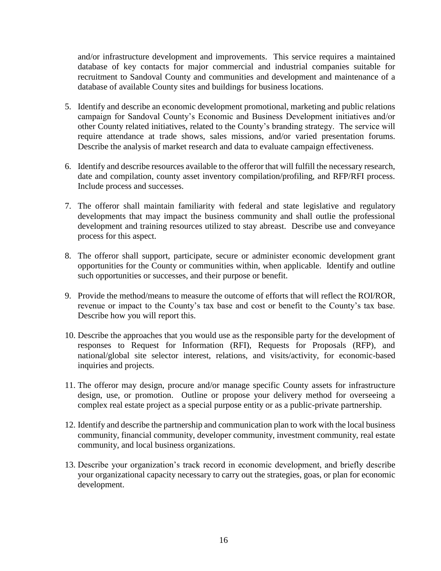and/or infrastructure development and improvements. This service requires a maintained database of key contacts for major commercial and industrial companies suitable for recruitment to Sandoval County and communities and development and maintenance of a database of available County sites and buildings for business locations.

- 5. Identify and describe an economic development promotional, marketing and public relations campaign for Sandoval County's Economic and Business Development initiatives and/or other County related initiatives, related to the County's branding strategy. The service will require attendance at trade shows, sales missions, and/or varied presentation forums. Describe the analysis of market research and data to evaluate campaign effectiveness.
- 6. Identify and describe resources available to the offeror that will fulfill the necessary research, date and compilation, county asset inventory compilation/profiling, and RFP/RFI process. Include process and successes.
- 7. The offeror shall maintain familiarity with federal and state legislative and regulatory developments that may impact the business community and shall outlie the professional development and training resources utilized to stay abreast. Describe use and conveyance process for this aspect.
- 8. The offeror shall support, participate, secure or administer economic development grant opportunities for the County or communities within, when applicable. Identify and outline such opportunities or successes, and their purpose or benefit.
- 9. Provide the method/means to measure the outcome of efforts that will reflect the ROI/ROR, revenue or impact to the County's tax base and cost or benefit to the County's tax base. Describe how you will report this.
- 10. Describe the approaches that you would use as the responsible party for the development of responses to Request for Information (RFI), Requests for Proposals (RFP), and national/global site selector interest, relations, and visits/activity, for economic-based inquiries and projects.
- 11. The offeror may design, procure and/or manage specific County assets for infrastructure design, use, or promotion. Outline or propose your delivery method for overseeing a complex real estate project as a special purpose entity or as a public-private partnership.
- 12. Identify and describe the partnership and communication plan to work with the local business community, financial community, developer community, investment community, real estate community, and local business organizations.
- 13. Describe your organization's track record in economic development, and briefly describe your organizational capacity necessary to carry out the strategies, goas, or plan for economic development.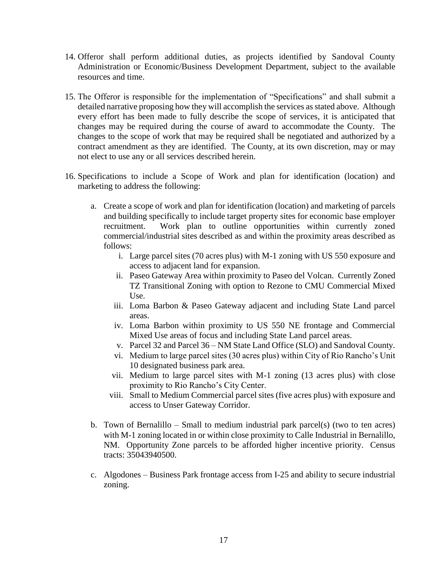- 14. Offeror shall perform additional duties, as projects identified by Sandoval County Administration or Economic/Business Development Department, subject to the available resources and time.
- 15. The Offeror is responsible for the implementation of "Specifications" and shall submit a detailed narrative proposing how they will accomplish the services as stated above. Although every effort has been made to fully describe the scope of services, it is anticipated that changes may be required during the course of award to accommodate the County. The changes to the scope of work that may be required shall be negotiated and authorized by a contract amendment as they are identified. The County, at its own discretion, may or may not elect to use any or all services described herein.
- 16. Specifications to include a Scope of Work and plan for identification (location) and marketing to address the following:
	- a. Create a scope of work and plan for identification (location) and marketing of parcels and building specifically to include target property sites for economic base employer recruitment. Work plan to outline opportunities within currently zoned commercial/industrial sites described as and within the proximity areas described as follows:
		- i. Large parcel sites (70 acres plus) with M-1 zoning with US 550 exposure and access to adjacent land for expansion.
		- ii. Paseo Gateway Area within proximity to Paseo del Volcan. Currently Zoned TZ Transitional Zoning with option to Rezone to CMU Commercial Mixed Use.
		- iii. Loma Barbon & Paseo Gateway adjacent and including State Land parcel areas.
		- iv. Loma Barbon within proximity to US 550 NE frontage and Commercial Mixed Use areas of focus and including State Land parcel areas.
		- v. Parcel 32 and Parcel 36 NM State Land Office (SLO) and Sandoval County.
		- vi. Medium to large parcel sites (30 acres plus) within City of Rio Rancho's Unit 10 designated business park area.
		- vii. Medium to large parcel sites with M-1 zoning (13 acres plus) with close proximity to Rio Rancho's City Center.
		- viii. Small to Medium Commercial parcel sites (five acres plus) with exposure and access to Unser Gateway Corridor.
	- b. Town of Bernalillo Small to medium industrial park parcel(s) (two to ten acres) with M-1 zoning located in or within close proximity to Calle Industrial in Bernalillo, NM. Opportunity Zone parcels to be afforded higher incentive priority. Census tracts: 35043940500.
	- c. Algodones Business Park frontage access from I-25 and ability to secure industrial zoning.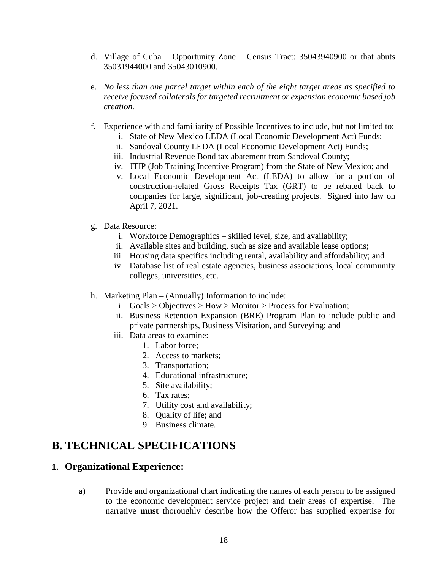- d. Village of Cuba Opportunity Zone Census Tract: 35043940900 or that abuts 35031944000 and 35043010900.
- e. *No less than one parcel target within each of the eight target areas as specified to receive focused collaterals for targeted recruitment or expansion economic based job creation.*
- f. Experience with and familiarity of Possible Incentives to include, but not limited to:
	- i. State of New Mexico LEDA (Local Economic Development Act) Funds;
	- ii. Sandoval County LEDA (Local Economic Development Act) Funds;
	- iii. Industrial Revenue Bond tax abatement from Sandoval County;
	- iv. JTIP (Job Training Incentive Program) from the State of New Mexico; and
	- v. Local Economic Development Act (LEDA) to allow for a portion of construction-related Gross Receipts Tax (GRT) to be rebated back to companies for large, significant, job-creating projects. Signed into law on April 7, 2021.
- g. Data Resource:
	- i. Workforce Demographics skilled level, size, and availability;
	- ii. Available sites and building, such as size and available lease options;
	- iii. Housing data specifics including rental, availability and affordability; and
	- iv. Database list of real estate agencies, business associations, local community colleges, universities, etc.
- h. Marketing Plan (Annually) Information to include:
	- i. Goals > Objectives > How > Monitor > Process for Evaluation;
	- ii. Business Retention Expansion (BRE) Program Plan to include public and private partnerships, Business Visitation, and Surveying; and
	- iii. Data areas to examine:
		- 1. Labor force;
		- 2. Access to markets;
		- 3. Transportation;
		- 4. Educational infrastructure;
		- 5. Site availability;
		- 6. Tax rates;
		- 7. Utility cost and availability;
		- 8. Quality of life; and
		- 9. Business climate.

## **B. TECHNICAL SPECIFICATIONS**

### **1. Organizational Experience:**

a) Provide and organizational chart indicating the names of each person to be assigned to the economic development service project and their areas of expertise. The narrative **must** thoroughly describe how the Offeror has supplied expertise for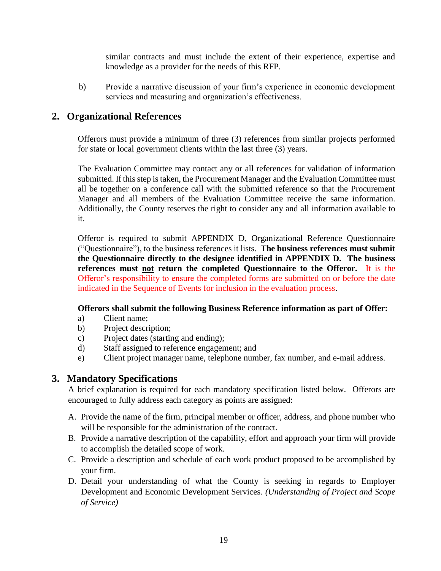similar contracts and must include the extent of their experience, expertise and knowledge as a provider for the needs of this RFP.

b) Provide a narrative discussion of your firm's experience in economic development services and measuring and organization's effectiveness.

## **2. Organizational References**

Offerors must provide a minimum of three (3) references from similar projects performed for state or local government clients within the last three (3) years.

The Evaluation Committee may contact any or all references for validation of information submitted. If this step is taken, the Procurement Manager and the Evaluation Committee must all be together on a conference call with the submitted reference so that the Procurement Manager and all members of the Evaluation Committee receive the same information. Additionally, the County reserves the right to consider any and all information available to it.

Offeror is required to submit APPENDIX D, Organizational Reference Questionnaire ("Questionnaire"), to the business references it lists. **The business references must submit the Questionnaire directly to the designee identified in APPENDIX D. The business references must not return the completed Questionnaire to the Offeror.** It is the Offeror's responsibility to ensure the completed forms are submitted on or before the date indicated in the Sequence of Events for inclusion in the evaluation process.

### **Offerors shall submit the following Business Reference information as part of Offer:**

- a) Client name;
- b) Project description;
- c) Project dates (starting and ending);
- d) Staff assigned to reference engagement; and
- e) Client project manager name, telephone number, fax number, and e-mail address.

## **3. Mandatory Specifications**

A brief explanation is required for each mandatory specification listed below. Offerors are encouraged to fully address each category as points are assigned:

- A. Provide the name of the firm, principal member or officer, address, and phone number who will be responsible for the administration of the contract.
- B. Provide a narrative description of the capability, effort and approach your firm will provide to accomplish the detailed scope of work.
- C. Provide a description and schedule of each work product proposed to be accomplished by your firm.
- D. Detail your understanding of what the County is seeking in regards to Employer Development and Economic Development Services. *(Understanding of Project and Scope of Service)*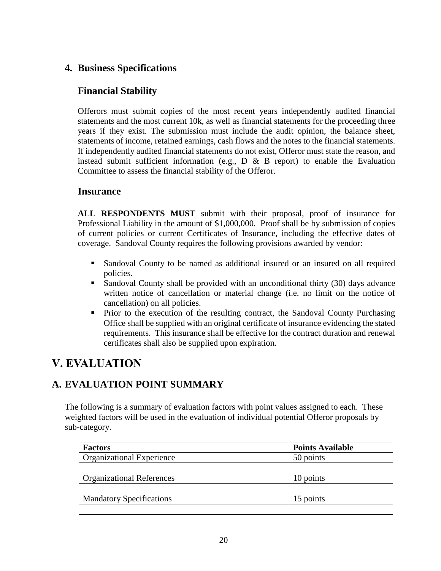## **4. Business Specifications**

## **Financial Stability**

Offerors must submit copies of the most recent years independently audited financial statements and the most current 10k, as well as financial statements for the proceeding three years if they exist. The submission must include the audit opinion, the balance sheet, statements of income, retained earnings, cash flows and the notes to the financial statements. If independently audited financial statements do not exist, Offeror must state the reason, and instead submit sufficient information (e.g.,  $D \& B$  report) to enable the Evaluation Committee to assess the financial stability of the Offeror.

## **Insurance**

**ALL RESPONDENTS MUST** submit with their proposal, proof of insurance for Professional Liability in the amount of \$1,000,000. Proof shall be by submission of copies of current policies or current Certificates of Insurance, including the effective dates of coverage. Sandoval County requires the following provisions awarded by vendor:

- Sandoval County to be named as additional insured or an insured on all required policies.
- Sandoval County shall be provided with an unconditional thirty (30) days advance written notice of cancellation or material change (i.e. no limit on the notice of cancellation) on all policies.
- Prior to the execution of the resulting contract, the Sandoval County Purchasing Office shall be supplied with an original certificate of insurance evidencing the stated requirements. This insurance shall be effective for the contract duration and renewal certificates shall also be supplied upon expiration.

## **V. EVALUATION**

## **A. EVALUATION POINT SUMMARY**

The following is a summary of evaluation factors with point values assigned to each. These weighted factors will be used in the evaluation of individual potential Offeror proposals by sub-category.

| <b>Factors</b>                   | <b>Points Available</b> |
|----------------------------------|-------------------------|
| <b>Organizational Experience</b> | 50 points               |
|                                  |                         |
| <b>Organizational References</b> | 10 points               |
|                                  |                         |
| <b>Mandatory Specifications</b>  | 15 points               |
|                                  |                         |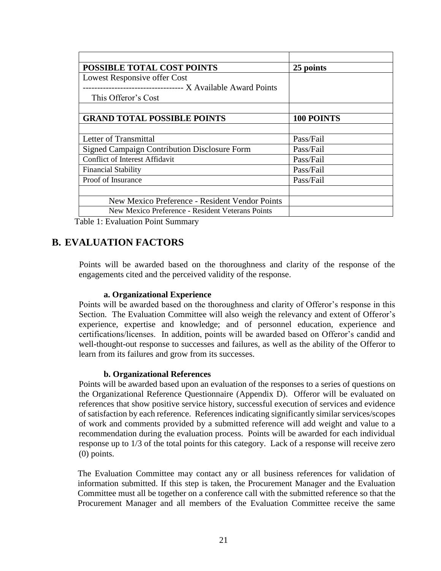| <b>POSSIBLE TOTAL COST POINTS</b>                   | 25 points  |
|-----------------------------------------------------|------------|
| Lowest Responsive offer Cost                        |            |
| ---------------------- X Available Award Points     |            |
| This Offeror's Cost                                 |            |
|                                                     |            |
| <b>GRAND TOTAL POSSIBLE POINTS</b>                  | 100 POINTS |
|                                                     |            |
| Letter of Transmittal                               | Pass/Fail  |
| <b>Signed Campaign Contribution Disclosure Form</b> | Pass/Fail  |
| <b>Conflict of Interest Affidavit</b>               | Pass/Fail  |
| <b>Financial Stability</b>                          | Pass/Fail  |
| Proof of Insurance                                  | Pass/Fail  |
|                                                     |            |
| New Mexico Preference - Resident Vendor Points      |            |
| New Mexico Preference - Resident Veterans Points    |            |

Table 1: Evaluation Point Summary

## **B. EVALUATION FACTORS**

**<sup>3</sup>**Points will be awarded based on the thoroughness and clarity of the response of the engagements cited and the perceived validity of the response.

#### **a. Organizational Experience**

Points will be awarded based on the thoroughness and clarity of Offeror's response in this Section. The Evaluation Committee will also weigh the relevancy and extent of Offeror's experience, expertise and knowledge; and of personnel education, experience and certifications/licenses. In addition, points will be awarded based on Offeror's candid and well-thought-out response to successes and failures, as well as the ability of the Offeror to learn from its failures and grow from its successes.

#### **b. Organizational References**

Points will be awarded based upon an evaluation of the responses to a series of questions on the Organizational Reference Questionnaire (Appendix D). Offeror will be evaluated on references that show positive service history, successful execution of services and evidence of satisfaction by each reference. References indicating significantly similar services/scopes of work and comments provided by a submitted reference will add weight and value to a recommendation during the evaluation process. Points will be awarded for each individual response up to 1/3 of the total points for this category. Lack of a response will receive zero (0) points.

The Evaluation Committee may contact any or all business references for validation of information submitted. If this step is taken, the Procurement Manager and the Evaluation Committee must all be together on a conference call with the submitted reference so that the Procurement Manager and all members of the Evaluation Committee receive the same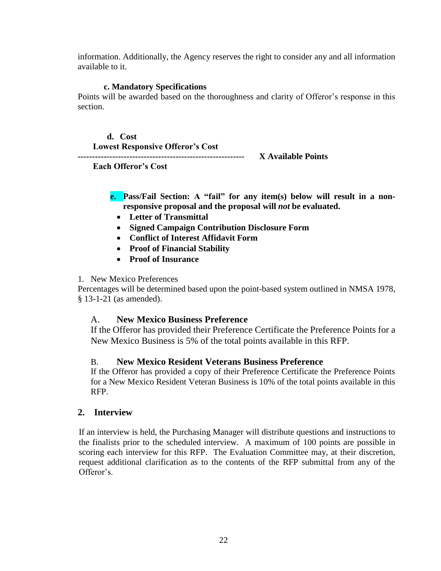information. Additionally, the Agency reserves the right to consider any and all information available to it.

#### **c. Mandatory Specifications**

Points will be awarded based on the thoroughness and clarity of Offeror's response in this section.

**d. Cost Lowest Responsive Offeror's Cost ---------------------------------------------------------- X Available Points**

 **Each Offeror's Cost**

**e. Pass/Fail Section: A "fail" for any item(s) below will result in a nonresponsive proposal and the proposal will** *not* **be evaluated.** 

- **Letter of Transmittal**
- **Signed Campaign Contribution Disclosure Form**
- **Conflict of Interest Affidavit Form**
- **Proof of Financial Stability**
- **Proof of Insurance**

### 1. New Mexico Preferences

Percentages will be determined based upon the point-based system outlined in NMSA 1978, § 13-1-21 (as amended).

## A. **New Mexico Business Preference**

If the Offeror has provided their Preference Certificate the Preference Points for a New Mexico Business is 5% of the total points available in this RFP.

## B. **New Mexico Resident Veterans Business Preference**

If the Offeror has provided a copy of their Preference Certificate the Preference Points for a New Mexico Resident Veteran Business is 10% of the total points available in this RFP.

### **2. Interview**

If an interview is held, the Purchasing Manager will distribute questions and instructions to the finalists prior to the scheduled interview. A maximum of 100 points are possible in scoring each interview for this RFP. The Evaluation Committee may, at their discretion, request additional clarification as to the contents of the RFP submittal from any of the Offeror's.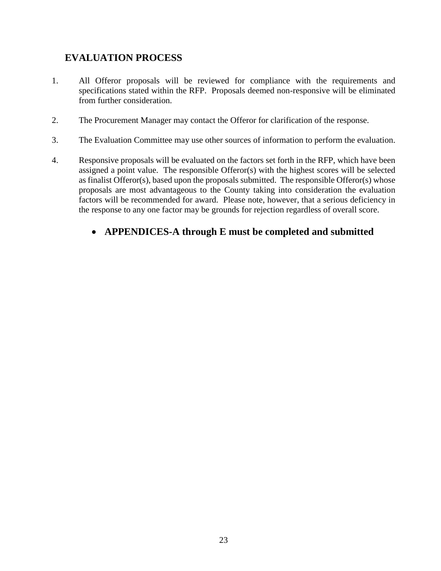## **EVALUATION PROCESS**

- 1. All Offeror proposals will be reviewed for compliance with the requirements and specifications stated within the RFP. Proposals deemed non-responsive will be eliminated from further consideration.
- 2. The Procurement Manager may contact the Offeror for clarification of the response.
- 3. The Evaluation Committee may use other sources of information to perform the evaluation.
- 4. Responsive proposals will be evaluated on the factors set forth in the RFP, which have been assigned a point value. The responsible Offeror(s) with the highest scores will be selected as finalist Offeror(s), based upon the proposals submitted. The responsible Offeror(s) whose proposals are most advantageous to the County taking into consideration the evaluation factors will be recommended for award. Please note, however, that a serious deficiency in the response to any one factor may be grounds for rejection regardless of overall score.

## **APPENDICES-A through E must be completed and submitted**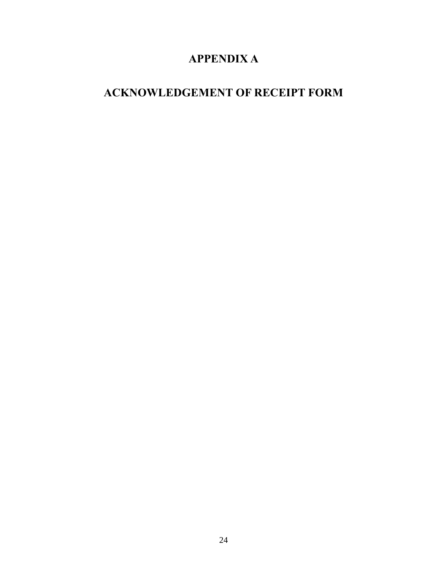## **APPENDIX A**

## **ACKNOWLEDGEMENT OF RECEIPT FORM**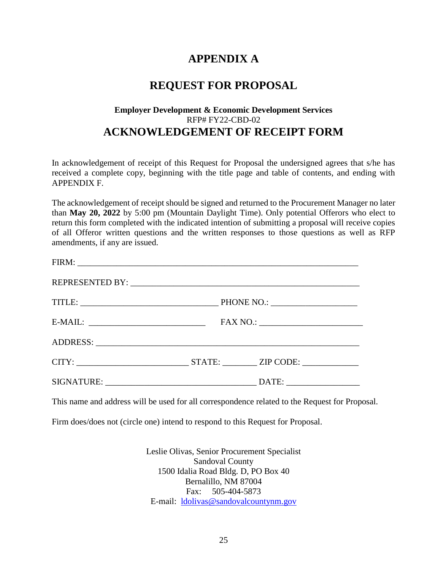## **APPENDIX A**

## **REQUEST FOR PROPOSAL**

## **Employer Development & Economic Development Services** RFP# FY22-CBD-02 **ACKNOWLEDGEMENT OF RECEIPT FORM**

In acknowledgement of receipt of this Request for Proposal the undersigned agrees that s/he has received a complete copy, beginning with the title page and table of contents, and ending with APPENDIX F.

The acknowledgement of receipt should be signed and returned to the Procurement Manager no later than **May 20, 2022** by 5:00 pm (Mountain Daylight Time). Only potential Offerors who elect to return this form completed with the indicated intention of submitting a proposal will receive copies of all Offeror written questions and the written responses to those questions as well as RFP amendments, if any are issued.

| CITY: STATE: ZIP CODE:                                                                                                                                                                                                         |  |  |
|--------------------------------------------------------------------------------------------------------------------------------------------------------------------------------------------------------------------------------|--|--|
| SIGNATURE: VALUE AND SIGNATURE AND SIGNATURE AND SIGNATURE AND SIGNATURE AND SIGNATURE AND SIGNATURE AND SIGNATURE AND SIGNATURE AND SIGNATURE AND SIGNATURE AND SIGNATURE AND SIGNATURE AND SIGNATURE AND SIGNATURE AND SIGNA |  |  |

This name and address will be used for all correspondence related to the Request for Proposal.

Firm does/does not (circle one) intend to respond to this Request for Proposal.

Leslie Olivas, Senior Procurement Specialist Sandoval County 1500 Idalia Road Bldg. D, PO Box 40 Bernalillo, NM 87004 Fax: 505-404-5873 E-mail: [ldolivas@sandovalcountynm.gov](mailto:ldolivas@sandovalcountynm.gov)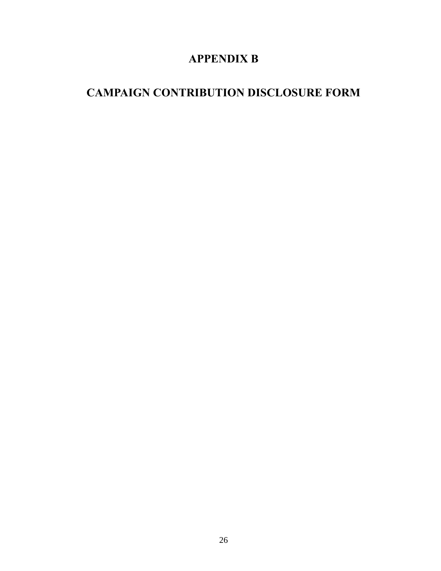## **APPENDIX B**

## **CAMPAIGN CONTRIBUTION DISCLOSURE FORM**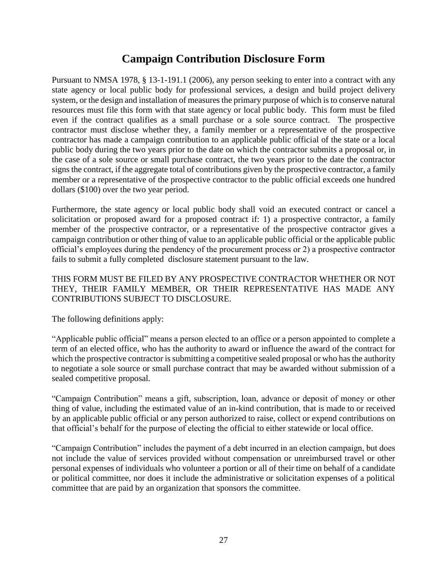## **Campaign Contribution Disclosure Form**

Pursuant to NMSA 1978, § 13-1-191.1 (2006), any person seeking to enter into a contract with any state agency or local public body for professional services, a design and build project delivery system, or the design and installation of measures the primary purpose of which is to conserve natural resources must file this form with that state agency or local public body. This form must be filed even if the contract qualifies as a small purchase or a sole source contract. The prospective contractor must disclose whether they, a family member or a representative of the prospective contractor has made a campaign contribution to an applicable public official of the state or a local public body during the two years prior to the date on which the contractor submits a proposal or, in the case of a sole source or small purchase contract, the two years prior to the date the contractor signs the contract, if the aggregate total of contributions given by the prospective contractor, a family member or a representative of the prospective contractor to the public official exceeds one hundred dollars (\$100) over the two year period.

Furthermore, the state agency or local public body shall void an executed contract or cancel a solicitation or proposed award for a proposed contract if: 1) a prospective contractor, a family member of the prospective contractor, or a representative of the prospective contractor gives a campaign contribution or other thing of value to an applicable public official or the applicable public official's employees during the pendency of the procurement process or 2) a prospective contractor fails to submit a fully completed disclosure statement pursuant to the law.

THIS FORM MUST BE FILED BY ANY PROSPECTIVE CONTRACTOR WHETHER OR NOT THEY, THEIR FAMILY MEMBER, OR THEIR REPRESENTATIVE HAS MADE ANY CONTRIBUTIONS SUBJECT TO DISCLOSURE.

The following definitions apply:

"Applicable public official" means a person elected to an office or a person appointed to complete a term of an elected office, who has the authority to award or influence the award of the contract for which the prospective contractor is submitting a competitive sealed proposal or who has the authority to negotiate a sole source or small purchase contract that may be awarded without submission of a sealed competitive proposal.

"Campaign Contribution" means a gift, subscription, loan, advance or deposit of money or other thing of value, including the estimated value of an in-kind contribution, that is made to or received by an applicable public official or any person authorized to raise, collect or expend contributions on that official's behalf for the purpose of electing the official to either statewide or local office.

"Campaign Contribution" includes the payment of a debt incurred in an election campaign, but does not include the value of services provided without compensation or unreimbursed travel or other personal expenses of individuals who volunteer a portion or all of their time on behalf of a candidate or political committee, nor does it include the administrative or solicitation expenses of a political committee that are paid by an organization that sponsors the committee.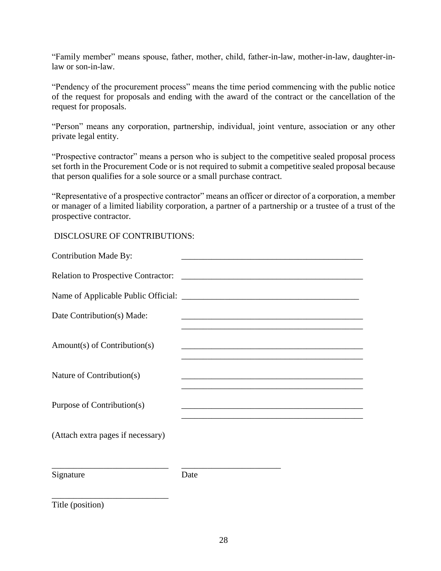"Family member" means spouse, father, mother, child, father-in-law, mother-in-law, daughter-inlaw or son-in-law.

"Pendency of the procurement process" means the time period commencing with the public notice of the request for proposals and ending with the award of the contract or the cancellation of the request for proposals.

"Person" means any corporation, partnership, individual, joint venture, association or any other private legal entity.

"Prospective contractor" means a person who is subject to the competitive sealed proposal process set forth in the Procurement Code or is not required to submit a competitive sealed proposal because that person qualifies for a sole source or a small purchase contract.

"Representative of a prospective contractor" means an officer or director of a corporation, a member or manager of a limited liability corporation, a partner of a partnership or a trustee of a trust of the prospective contractor.

DISCLOSURE OF CONTRIBUTIONS:

| <b>Contribution Made By:</b>               |                                                                  |  |
|--------------------------------------------|------------------------------------------------------------------|--|
| <b>Relation to Prospective Contractor:</b> | <u> 2002 - Jan James James Barnett, fransk politik (d. 1882)</u> |  |
|                                            |                                                                  |  |
| Date Contribution(s) Made:                 |                                                                  |  |
| $Amount(s)$ of Contribution(s)             |                                                                  |  |
| Nature of Contribution(s)                  |                                                                  |  |
| Purpose of Contribution(s)                 | <u> 2008 - Johann John Stone, mars et al. (2008)</u>             |  |
| (Attach extra pages if necessary)          |                                                                  |  |
| Signature                                  | Date                                                             |  |

Title (position)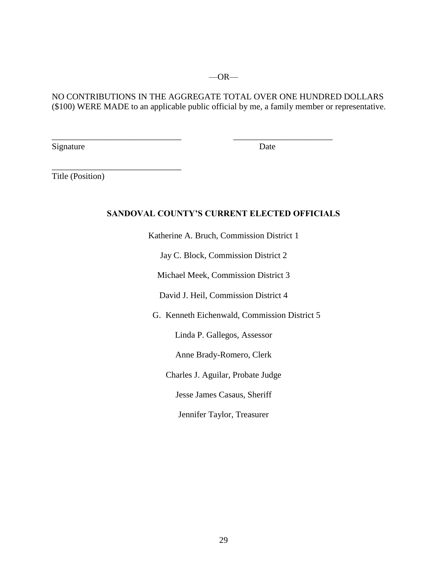#### NO CONTRIBUTIONS IN THE AGGREGATE TOTAL OVER ONE HUNDRED DOLLARS (\$100) WERE MADE to an applicable public official by me, a family member or representative.

\_\_\_\_\_\_\_\_\_\_\_\_\_\_\_\_\_\_\_\_\_\_\_\_\_\_\_\_\_\_ \_\_\_\_\_\_\_\_\_\_\_\_\_\_\_\_\_\_\_\_\_\_\_

Signature Date

Title (Position)

\_\_\_\_\_\_\_\_\_\_\_\_\_\_\_\_\_\_\_\_\_\_\_\_\_\_\_\_\_\_

#### **SANDOVAL COUNTY'S CURRENT ELECTED OFFICIALS**

Katherine A. Bruch, Commission District 1

Jay C. Block, Commission District 2

Michael Meek, Commission District 3

David J. Heil, Commission District 4

G. Kenneth Eichenwald, Commission District 5

Linda P. Gallegos, Assessor

Anne Brady-Romero, Clerk

Charles J. Aguilar, Probate Judge

Jesse James Casaus, Sheriff

Jennifer Taylor, Treasurer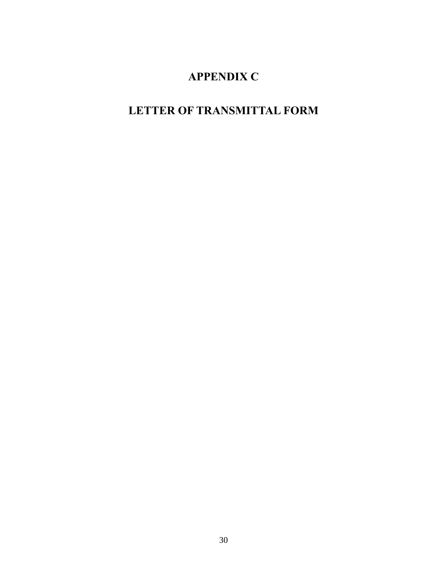## **APPENDIX C**

# **LETTER OF TRANSMITTAL FORM**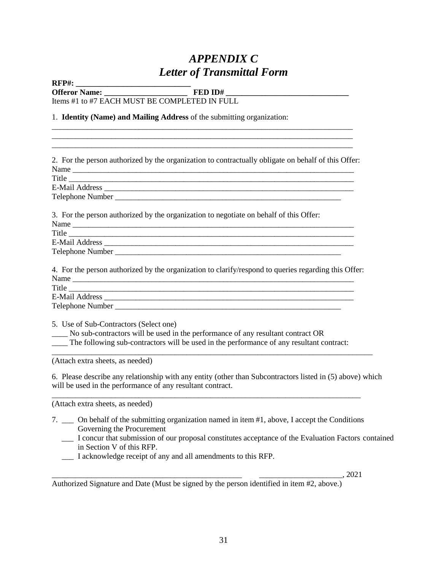## *APPENDIX C Letter of Transmittal Form*

**RFP#: \_\_\_\_\_\_\_\_\_\_\_\_\_\_\_\_\_\_\_\_\_\_\_\_\_\_\_\_\_**

**Offeror Name: \_\_\_\_\_\_\_\_\_\_\_\_\_\_\_\_\_\_\_\_\_ FED ID# \_\_\_\_\_\_\_\_\_\_\_\_\_\_\_\_\_\_\_\_\_\_\_\_\_\_\_\_\_\_\_**

\_\_\_\_\_\_\_\_\_\_\_\_\_\_\_\_\_\_\_\_\_\_\_\_\_\_\_\_\_\_\_\_\_\_\_\_\_\_\_\_\_\_\_\_\_\_\_\_\_\_\_\_\_\_\_\_\_\_\_\_\_\_\_\_\_\_\_\_\_\_\_\_\_\_\_\_ \_\_\_\_\_\_\_\_\_\_\_\_\_\_\_\_\_\_\_\_\_\_\_\_\_\_\_\_\_\_\_\_\_\_\_\_\_\_\_\_\_\_\_\_\_\_\_\_\_\_\_\_\_\_\_\_\_\_\_\_\_\_\_\_\_\_\_\_\_\_\_\_\_\_\_\_

Items #1 to #7 EACH MUST BE COMPLETED IN FULL

#### 1. **Identity (Name) and Mailing Address** of the submitting organization:

| 2. For the person authorized by the organization to contractually obligate on behalf of this Offer:                                                                                                                   |
|-----------------------------------------------------------------------------------------------------------------------------------------------------------------------------------------------------------------------|
|                                                                                                                                                                                                                       |
| Title                                                                                                                                                                                                                 |
|                                                                                                                                                                                                                       |
|                                                                                                                                                                                                                       |
| 3. For the person authorized by the organization to negotiate on behalf of this Offer:                                                                                                                                |
|                                                                                                                                                                                                                       |
| Title                                                                                                                                                                                                                 |
|                                                                                                                                                                                                                       |
|                                                                                                                                                                                                                       |
| 4. For the person authorized by the organization to clarify/respond to queries regarding this Offer:                                                                                                                  |
| Title                                                                                                                                                                                                                 |
|                                                                                                                                                                                                                       |
|                                                                                                                                                                                                                       |
| 5. Use of Sub-Contractors (Select one)<br>No sub-contractors will be used in the performance of any resultant contract OR<br>The following sub-contractors will be used in the performance of any resultant contract: |
| (Attach extra sheets, as needed)                                                                                                                                                                                      |
| 6. Please describe any relationship with any entity (other than Subcontractors listed in (5) above) which<br>will be used in the performance of any resultant contract.                                               |

(Attach extra sheets, as needed)

- 7. \_\_\_ On behalf of the submitting organization named in item #1, above, I accept the Conditions Governing the Procurement
	- \_\_\_ I concur that submission of our proposal constitutes acceptance of the Evaluation Factors contained in Section V of this RFP.
	- \_\_\_ I acknowledge receipt of any and all amendments to this RFP.

\_\_\_\_\_\_\_\_\_\_\_\_\_\_\_\_\_\_\_\_\_\_\_\_\_\_\_\_\_\_\_\_\_\_\_\_\_\_\_\_\_\_\_\_\_\_\_\_ \_\_\_\_\_\_\_\_\_\_\_\_\_\_\_\_\_\_\_\_\_, 2021

Authorized Signature and Date (Must be signed by the person identified in item #2, above.)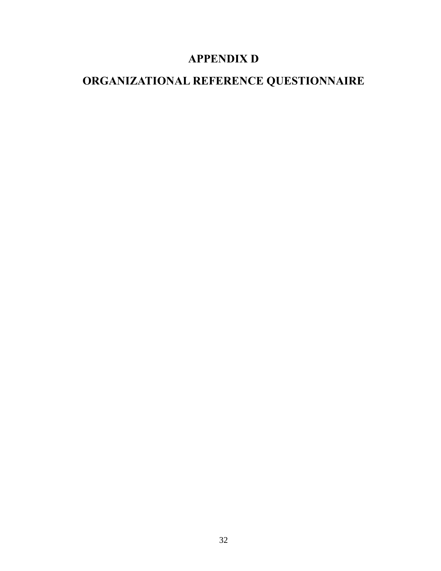## **APPENDIX D**

# **ORGANIZATIONAL REFERENCE QUESTIONNAIRE**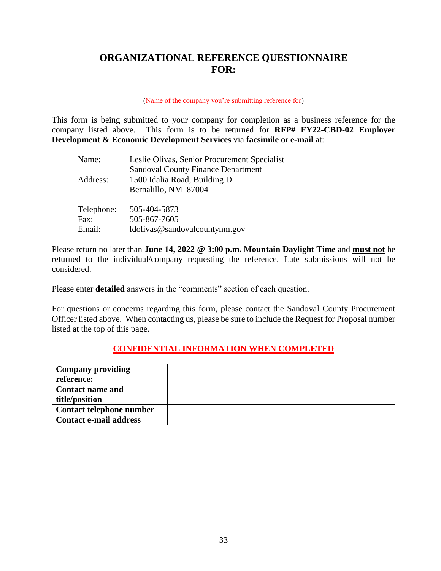## **ORGANIZATIONAL REFERENCE QUESTIONNAIRE FOR:**

(Name of the company you're submitting reference for)

This form is being submitted to your company for completion as a business reference for the company listed above. This form is to be returned for **RFP# FY22-CBD-02 Employer Development & Economic Development Services** via **facsimile** or **e-mail** at:

| Name:      | Leslie Olivas, Senior Procurement Specialist |
|------------|----------------------------------------------|
|            | <b>Sandoval County Finance Department</b>    |
| Address:   | 1500 Idalia Road, Building D                 |
|            | Bernalillo, NM 87004                         |
| Telephone: | 505-404-5873                                 |
| Fax:       | 505-867-7605                                 |
| Email:     | ldolivas@sandovalcountynm.gov                |

Please return no later than **June 14, 2022 @ 3:00 p.m. Mountain Daylight Time** and **must not** be returned to the individual/company requesting the reference. Late submissions will not be considered.

Please enter **detailed** answers in the "comments" section of each question.

For questions or concerns regarding this form, please contact the Sandoval County Procurement Officer listed above. When contacting us, please be sure to include the Request for Proposal number listed at the top of this page.

### **CONFIDENTIAL INFORMATION WHEN COMPLETED**

| <b>Company providing</b>      |  |
|-------------------------------|--|
| reference:                    |  |
| <b>Contact name and</b>       |  |
| title/position                |  |
| Contact telephone number      |  |
| <b>Contact e-mail address</b> |  |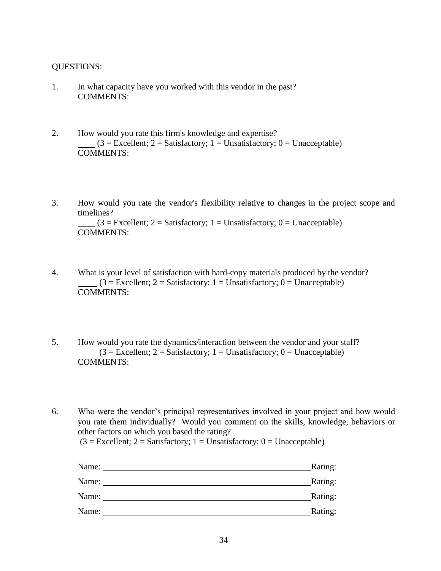#### QUESTIONS:

- 1. In what capacity have you worked with this vendor in the past? COMMENTS:
- 2. How would you rate this firm's knowledge and expertise?  $(3 = Excellent; 2 = Satisfactory; 1 = Unsatisfactory; 0 = Unacceptable)$ COMMENTS:
- 3. How would you rate the vendor's flexibility relative to changes in the project scope and timelines?  $(3 = Excellent; 2 = Satisfactory; 1 = Unsatisfactory; 0 = Unacceptable)$ COMMENTS:
- 4. What is your level of satisfaction with hard-copy materials produced by the vendor?  $(3 = Excellent; 2 = Satisfactory; 1 = Unsatisfactory; 0 = Unacceptable)$ COMMENTS:
- 5. How would you rate the dynamics/interaction between the vendor and your staff?  $(3 = Excellent; 2 = Satisfactory; 1 = Unsatisfactory; 0 = Unacceptable)$ COMMENTS:

6. Who were the vendor's principal representatives involved in your project and how would you rate them individually? Would you comment on the skills, knowledge, behaviors or other factors on which you based the rating?

 $(3 = Excellent; 2 = Satisfactory; 1 = Unsatisfactory; 0 = Unacceptable)$ 

| Name: | Rating: |
|-------|---------|
| Name: | Rating: |
| Name: | Rating: |
| Name: | Rating: |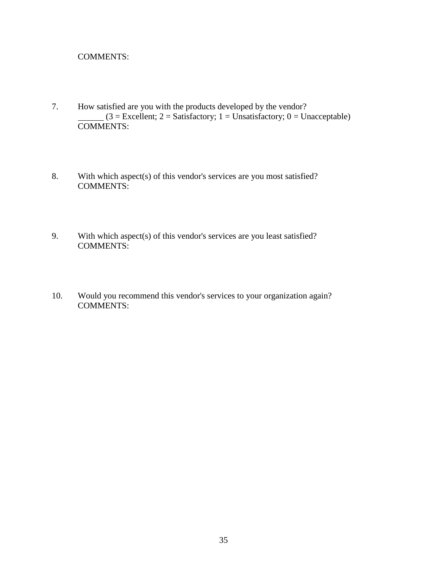#### COMMENTS:

- 7. How satisfied are you with the products developed by the vendor?  $(3 = \text{Excellent}; 2 = \text{Satisfactory}; 1 = \text{Unsatisfactory}; 0 = \text{Unacceptable})$  $\overline{\text{COMMENTS:}}$
- 8. With which aspect(s) of this vendor's services are you most satisfied? COMMENTS:
- 9. With which aspect(s) of this vendor's services are you least satisfied? COMMENTS:
- 10. Would you recommend this vendor's services to your organization again? COMMENTS: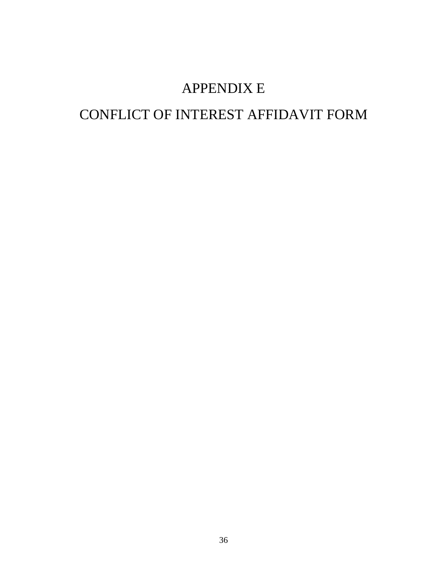# APPENDIX E

# CONFLICT OF INTEREST AFFIDAVIT FORM